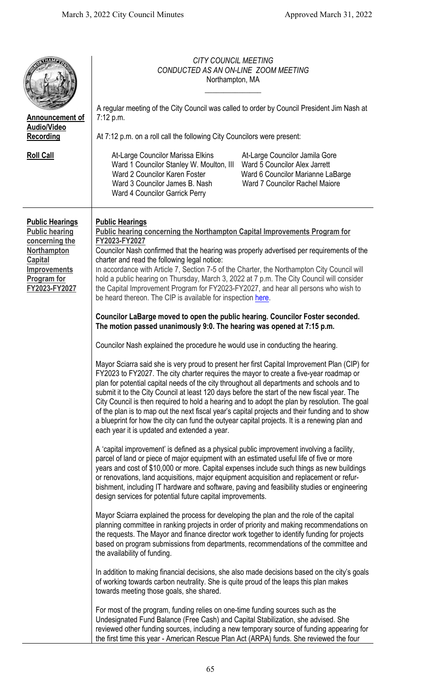| <b>Announcement of</b><br><b>Audio/Video</b><br>Recording<br><b>Roll Call</b>                                                                             | <b>CITY COUNCIL MEETING</b><br>CONDUCTED AS AN ON-LINE ZOOM MEETING<br>Northampton, MA<br>A regular meeting of the City Council was called to order by Council President Jim Nash at<br>7:12 p.m.<br>At 7:12 p.m. on a roll call the following City Councilors were present:<br>At-Large Councilor Marissa Elkins<br>At-Large Councilor Jamila Gore<br>Ward 1 Councilor Stanley W. Moulton, III<br>Ward 5 Councilor Alex Jarrett<br>Ward 2 Councilor Karen Foster<br>Ward 6 Councilor Marianne LaBarge<br>Ward 3 Councilor James B. Nash<br>Ward 7 Councilor Rachel Majore<br><b>Ward 4 Councilor Garrick Perry</b>                                                                                                                                                                                                                                                                                                                                                                                                                                                                                                                                                                                                                                                                                                                                                                                                                                                                                                                                                                                                                                                                                                                                                                                                                                                                                                                                                                                                                                                                                                                                                                                                                                                                                                                                                                                                                                                                                                                                                                                                                                                                                                                                                                                                      |
|-----------------------------------------------------------------------------------------------------------------------------------------------------------|--------------------------------------------------------------------------------------------------------------------------------------------------------------------------------------------------------------------------------------------------------------------------------------------------------------------------------------------------------------------------------------------------------------------------------------------------------------------------------------------------------------------------------------------------------------------------------------------------------------------------------------------------------------------------------------------------------------------------------------------------------------------------------------------------------------------------------------------------------------------------------------------------------------------------------------------------------------------------------------------------------------------------------------------------------------------------------------------------------------------------------------------------------------------------------------------------------------------------------------------------------------------------------------------------------------------------------------------------------------------------------------------------------------------------------------------------------------------------------------------------------------------------------------------------------------------------------------------------------------------------------------------------------------------------------------------------------------------------------------------------------------------------------------------------------------------------------------------------------------------------------------------------------------------------------------------------------------------------------------------------------------------------------------------------------------------------------------------------------------------------------------------------------------------------------------------------------------------------------------------------------------------------------------------------------------------------------------------------------------------------------------------------------------------------------------------------------------------------------------------------------------------------------------------------------------------------------------------------------------------------------------------------------------------------------------------------------------------------------------------------------------------------------------------------------------------------|
| <b>Public Hearings</b><br><b>Public hearing</b><br>concerning the<br><b>Northampton</b><br><b>Capital</b><br>Improvements<br>Program for<br>FY2023-FY2027 | <b>Public Hearings</b><br><b>Public hearing concerning the Northampton Capital Improvements Program for</b><br>FY2023-FY2027<br>Councilor Nash confirmed that the hearing was properly advertised per requirements of the<br>charter and read the following legal notice:<br>In accordance with Article 7, Section 7-5 of the Charter, the Northampton City Council will<br>hold a public hearing on Thursday, March 3, 2022 at 7 p.m. The City Council will consider<br>the Capital Improvement Program for FY2023-FY2027, and hear all persons who wish to<br>be heard thereon. The CIP is available for inspection here.<br>Councilor LaBarge moved to open the public hearing. Councilor Foster seconded.<br>The motion passed unanimously 9:0. The hearing was opened at 7:15 p.m.<br>Councilor Nash explained the procedure he would use in conducting the hearing.<br>Mayor Sciarra said she is very proud to present her first Capital Improvement Plan (CIP) for<br>FY2023 to FY2027. The city charter requires the mayor to create a five-year roadmap or<br>plan for potential capital needs of the city throughout all departments and schools and to<br>submit it to the City Council at least 120 days before the start of the new fiscal year. The<br>City Council is then required to hold a hearing and to adopt the plan by resolution. The goal<br>of the plan is to map out the next fiscal year's capital projects and their funding and to show<br>a blueprint for how the city can fund the outyear capital projects. It is a renewing plan and<br>each year it is updated and extended a year.<br>A 'capital improvement' is defined as a physical public improvement involving a facility,<br>parcel of land or piece of major equipment with an estimated useful life of five or more<br>years and cost of \$10,000 or more. Capital expenses include such things as new buildings<br>or renovations, land acquisitions, major equipment acquisition and replacement or refur-<br>bishment, including IT hardware and software, paving and feasibility studies or engineering<br>design services for potential future capital improvements.<br>Mayor Sciarra explained the process for developing the plan and the role of the capital<br>planning committee in ranking projects in order of priority and making recommendations on<br>the requests. The Mayor and finance director work together to identify funding for projects<br>based on program submissions from departments, recommendations of the committee and<br>the availability of funding.<br>In addition to making financial decisions, she also made decisions based on the city's goals<br>of working towards carbon neutrality. She is quite proud of the leaps this plan makes<br>towards meeting those goals, she shared. |
|                                                                                                                                                           | For most of the program, funding relies on one-time funding sources such as the<br>Undesignated Fund Balance (Free Cash) and Capital Stabilization, she advised. She<br>reviewed other funding sources, including a new temporary source of funding appearing for<br>the first time this year - American Rescue Plan Act (ARPA) funds. She reviewed the four                                                                                                                                                                                                                                                                                                                                                                                                                                                                                                                                                                                                                                                                                                                                                                                                                                                                                                                                                                                                                                                                                                                                                                                                                                                                                                                                                                                                                                                                                                                                                                                                                                                                                                                                                                                                                                                                                                                                                                                                                                                                                                                                                                                                                                                                                                                                                                                                                                                             |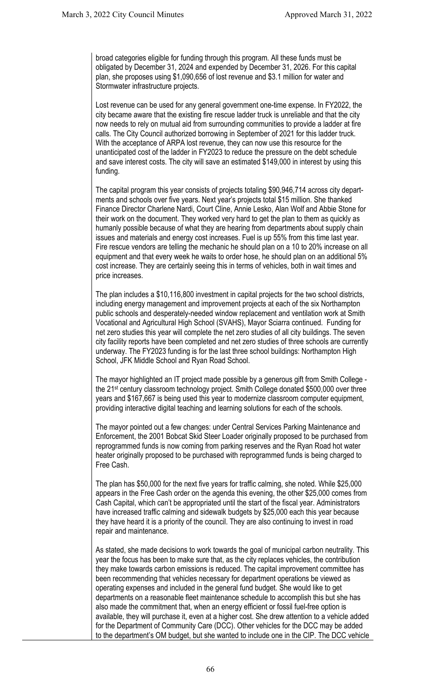broad categories eligible for funding through this program. All these funds must be obligated by December 31, 2024 and expended by December 31, 2026. For this capital plan, she proposes using \$1,090,656 of lost revenue and \$3.1 million for water and Stormwater infrastructure projects.

Lost revenue can be used for any general government one-time expense. In FY2022, the city became aware that the existing fire rescue ladder truck is unreliable and that the city now needs to rely on mutual aid from surrounding communities to provide a ladder at fire calls. The City Council authorized borrowing in September of 2021 for this ladder truck. With the acceptance of ARPA lost revenue, they can now use this resource for the unanticipated cost of the ladder in FY2023 to reduce the pressure on the debt schedule and save interest costs. The city will save an estimated \$149,000 in interest by using this funding.

The capital program this year consists of projects totaling \$90,946,714 across city departments and schools over five years. Next year's projects total \$15 million. She thanked Finance Director Charlene Nardi, Court Cline, Annie Lesko, Alan Wolf and Abbie Stone for their work on the document. They worked very hard to get the plan to them as quickly as humanly possible because of what they are hearing from departments about supply chain issues and materials and energy cost increases. Fuel is up 55% from this time last year. Fire rescue vendors are telling the mechanic he should plan on a 10 to 20% increase on all equipment and that every week he waits to order hose, he should plan on an additional 5% cost increase. They are certainly seeing this in terms of vehicles, both in wait times and price increases.

The plan includes a \$10,116,800 investment in capital projects for the two school districts, including energy management and improvement projects at each of the six Northampton public schools and desperately-needed window replacement and ventilation work at Smith Vocational and Agricultural High School (SVAHS), Mayor Sciarra continued. Funding for net zero studies this year will complete the net zero studies of all city buildings. The seven city facility reports have been completed and net zero studies of three schools are currently underway. The FY2023 funding is for the last three school buildings: Northampton High School, JFK Middle School and Ryan Road School.

The mayor highlighted an IT project made possible by a generous gift from Smith College the 21st century classroom technology project. Smith College donated \$500,000 over three years and \$167,667 is being used this year to modernize classroom computer equipment, providing interactive digital teaching and learning solutions for each of the schools.

The mayor pointed out a few changes: under Central Services Parking Maintenance and Enforcement, the 2001 Bobcat Skid Steer Loader originally proposed to be purchased from reprogrammed funds is now coming from parking reserves and the Ryan Road hot water heater originally proposed to be purchased with reprogrammed funds is being charged to Free Cash.

The plan has \$50,000 for the next five years for traffic calming, she noted. While \$25,000 appears in the Free Cash order on the agenda this evening, the other \$25,000 comes from Cash Capital, which can't be appropriated until the start of the fiscal year. Administrators have increased traffic calming and sidewalk budgets by \$25,000 each this year because they have heard it is a priority of the council. They are also continuing to invest in road repair and maintenance.

As stated, she made decisions to work towards the goal of municipal carbon neutrality. This year the focus has been to make sure that, as the city replaces vehicles, the contribution they make towards carbon emissions is reduced. The capital improvement committee has been recommending that vehicles necessary for department operations be viewed as operating expenses and included in the general fund budget. She would like to get departments on a reasonable fleet maintenance schedule to accomplish this but she has also made the commitment that, when an energy efficient or fossil fuel-free option is available, they will purchase it, even at a higher cost. She drew attention to a vehicle added for the Department of Community Care (DCC). Other vehicles for the DCC may be added to the department's OM budget, but she wanted to include one in the CIP. The DCC vehicle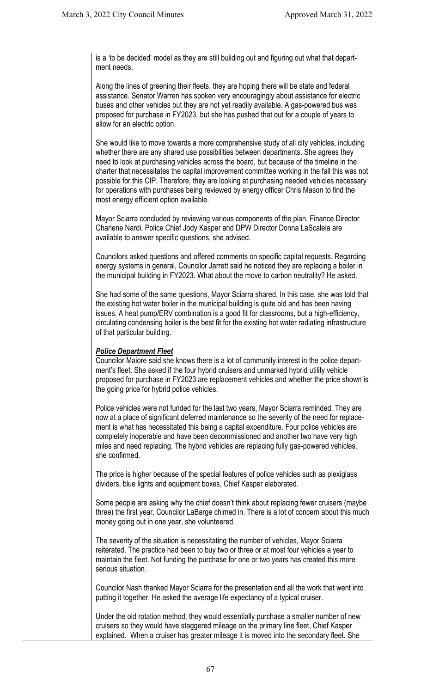is a 'to be decided' model as they are still building out and figuring out what that department needs.

Along the lines of greening their fleets, they are hoping there will be state and federal assistance. Senator Warren has spoken very encouragingly about assistance for electric buses and other vehicles but they are not yet readily available. A gas-powered bus was proposed for purchase in FY2023, but she has pushed that out for a couple of years to allow for an electric option.

She would like to move towards a more comprehensive study of all city vehicles, including whether there are any shared use possibilities between departments. She agrees they need to look at purchasing vehicles across the board, but because of the timeline in the charter that necessitates the capital improvement committee working in the fall this was not possible for this CIP. Therefore, they are looking at purchasing needed vehicles necessary for operations with purchases being reviewed by energy officer Chris Mason to find the most energy efficient option available.

Mayor Sciarra concluded by reviewing various components of the plan. Finance Director Charlene Nardi, Police Chief Jody Kasper and DPW Director Donna LaScaleia are available to answer specific questions, she advised.

Councilors asked questions and offered comments on specific capital requests. Regarding energy systems in general, Councilor Jarrett said he noticed they are replacing a boiler in the municipal building in FY2023. What about the move to carbon neutrality? He asked.

She had some of the same questions, Mayor Sciarra shared. In this case, she was told that the existing hot water boiler in the municipal building is quite old and has been having issues. A heat pump/ERV combination is a good fit for classrooms, but a high-efficiency, circulating condensing boiler is the best fit for the existing hot water radiating infrastructure of that particular building.

# *Police Department Fleet*

Councilor Maiore said she knows there is a lot of community interest in the police department's fleet. She asked if the four hybrid cruisers and unmarked hybrid utility vehicle proposed for purchase in FY2023 are replacement vehicles and whether the price shown is the going price for hybrid police vehicles.

Police vehicles were not funded for the last two years, Mayor Sciarra reminded. They are now at a place of significant deferred maintenance so the severity of the need for replacement is what has necessitated this being a capital expenditure. Four police vehicles are completely inoperable and have been decommissioned and another two have very high miles and need replacing. The hybrid vehicles are replacing fully gas-powered vehicles, she confirmed.

The price is higher because of the special features of police vehicles such as plexiglass dividers, blue lights and equipment boxes, Chief Kasper elaborated.

Some people are asking why the chief doesn't think about replacing fewer cruisers (maybe three) the first year, Councilor LaBarge chimed in. There is a lot of concern about this much money going out in one year, she volunteered.

The severity of the situation is necessitating the number of vehicles, Mayor Sciarra reiterated. The practice had been to buy two or three or at most four vehicles a year to maintain the fleet. Not funding the purchase for one or two years has created this more serious situation.

Councilor Nash thanked Mayor Sciarra for the presentation and all the work that went into putting it together. He asked the average life expectancy of a typical cruiser.

Under the old rotation method, they would essentially purchase a smaller number of new cruisers so they would have staggered mileage on the primary line fleet, Chief Kasper explained. When a cruiser has greater mileage it is moved into the secondary fleet. She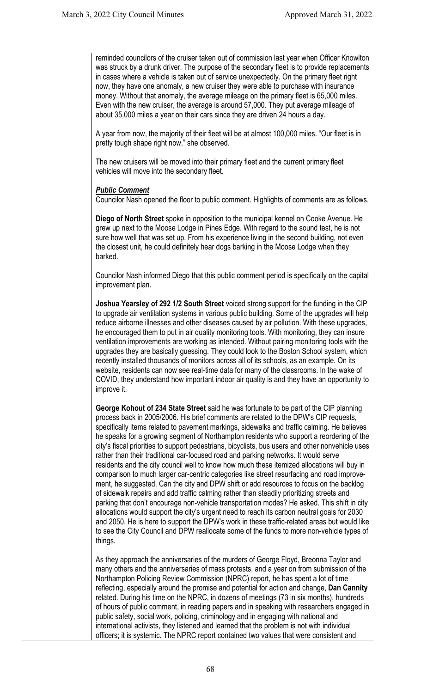reminded councilors of the cruiser taken out of commission last year when Officer Knowlton was struck by a drunk driver. The purpose of the secondary fleet is to provide replacements in cases where a vehicle is taken out of service unexpectedly. On the primary fleet right now, they have one anomaly, a new cruiser they were able to purchase with insurance money. Without that anomaly, the average mileage on the primary fleet is 65,000 miles. Even with the new cruiser, the average is around 57,000. They put average mileage of about 35,000 miles a year on their cars since they are driven 24 hours a day.

A year from now, the majority of their fleet will be at almost 100,000 miles. "Our fleet is in pretty tough shape right now," she observed.

The new cruisers will be moved into their primary fleet and the current primary fleet vehicles will move into the secondary fleet.

### *Public Comment*

Councilor Nash opened the floor to public comment. Highlights of comments are as follows.

**Diego of North Street** spoke in opposition to the municipal kennel on Cooke Avenue. He grew up next to the Moose Lodge in Pines Edge. With regard to the sound test, he is not sure how well that was set up. From his experience living in the second building, not even the closest unit, he could definitely hear dogs barking in the Moose Lodge when they barked.

Councilor Nash informed Diego that this public comment period is specifically on the capital improvement plan.

**Joshua Yearsley of 292 1/2 South Street** voiced strong support for the funding in the CIP to upgrade air ventilation systems in various public building. Some of the upgrades will help reduce airborne illnesses and other diseases caused by air pollution. With these upgrades, he encouraged them to put in air quality monitoring tools. With monitoring, they can insure ventilation improvements are working as intended. Without pairing monitoring tools with the upgrades they are basically guessing. They could look to the Boston School system, which recently installed thousands of monitors across all of its schools, as an example. On its website, residents can now see real-time data for many of the classrooms. In the wake of COVID, they understand how important indoor air quality is and they have an opportunity to improve it.

**George Kohout of 234 State Street** said he was fortunate to be part of the CIP planning process back in 2005/2006. His brief comments are related to the DPW's CIP requests, specifically items related to pavement markings, sidewalks and traffic calming. He believes he speaks for a growing segment of Northampton residents who support a reordering of the city's fiscal priorities to support pedestrians, bicyclists, bus users and other nonvehicle uses rather than their traditional car-focused road and parking networks. It would serve residents and the city council well to know how much these itemized allocations will buy in comparison to much larger car-centric categories like street resurfacing and road improvement, he suggested. Can the city and DPW shift or add resources to focus on the backlog of sidewalk repairs and add traffic calming rather than steadily prioritizing streets and parking that don't encourage non-vehicle transportation modes? He asked. This shift in city allocations would support the city's urgent need to reach its carbon neutral goals for 2030 and 2050. He is here to support the DPW's work in these traffic-related areas but would like to see the City Council and DPW reallocate some of the funds to more non-vehicle types of things.

As they approach the anniversaries of the murders of George Floyd, Breonna Taylor and many others and the anniversaries of mass protests, and a year on from submission of the Northampton Policing Review Commission (NPRC) report, he has spent a lot of time reflecting, especially around the promise and potential for action and change, **Dan Cannity**  related. During his time on the NPRC, in dozens of meetings (73 in six months), hundreds of hours of public comment, in reading papers and in speaking with researchers engaged in public safety, social work, policing, criminology and in engaging with national and international activists, they listened and learned that the problem is not with individual officers; it is systemic. The NPRC report contained two values that were consistent and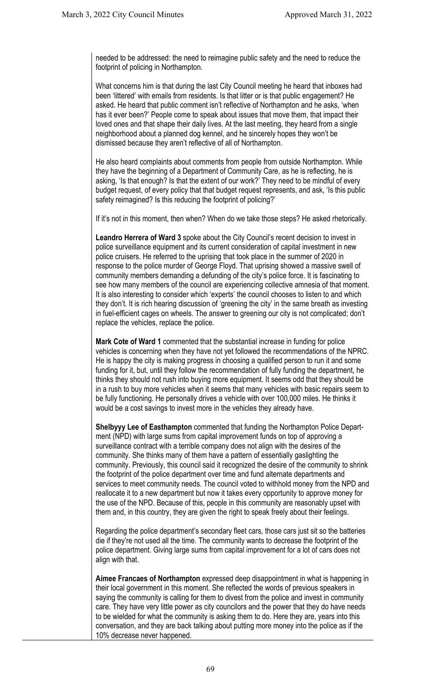needed to be addressed: the need to reimagine public safety and the need to reduce the footprint of policing in Northampton.

What concerns him is that during the last City Council meeting he heard that inboxes had been 'littered' with emails from residents. Is that litter or is that public engagement? He asked. He heard that public comment isn't reflective of Northampton and he asks, 'when has it ever been?' People come to speak about issues that move them, that impact their loved ones and that shape their daily lives. At the last meeting, they heard from a single neighborhood about a planned dog kennel, and he sincerely hopes they won't be dismissed because they aren't reflective of all of Northampton.

He also heard complaints about comments from people from outside Northampton. While they have the beginning of a Department of Community Care, as he is reflecting, he is asking, 'Is that enough? Is that the extent of our work?' They need to be mindful of every budget request, of every policy that that budget request represents, and ask, 'Is this public safety reimagined? Is this reducing the footprint of policing?'

If it's not in this moment, then when? When do we take those steps? He asked rhetorically.

**Leandro Herrera of Ward 3** spoke about the City Council's recent decision to invest in police surveillance equipment and its current consideration of capital investment in new police cruisers. He referred to the uprising that took place in the summer of 2020 in response to the police murder of George Floyd. That uprising showed a massive swell of community members demanding a defunding of the city's police force. It is fascinating to see how many members of the council are experiencing collective amnesia of that moment. It is also interesting to consider which 'experts' the council chooses to listen to and which they don't. It is rich hearing discussion of 'greening the city' in the same breath as investing in fuel-efficient cages on wheels. The answer to greening our city is not complicated; don't replace the vehicles, replace the police.

**Mark Cote of Ward 1** commented that the substantial increase in funding for police vehicles is concerning when they have not yet followed the recommendations of the NPRC. He is happy the city is making progress in choosing a qualified person to run it and some funding for it, but, until they follow the recommendation of fully funding the department, he thinks they should not rush into buying more equipment. It seems odd that they should be in a rush to buy more vehicles when it seems that many vehicles with basic repairs seem to be fully functioning. He personally drives a vehicle with over 100,000 miles. He thinks it would be a cost savings to invest more in the vehicles they already have.

**Shelbyyy Lee of Easthampton** commented that funding the Northampton Police Department (NPD) with large sums from capital improvement funds on top of approving a surveillance contract with a terrible company does not align with the desires of the community. She thinks many of them have a pattern of essentially gaslighting the community. Previously, this council said it recognized the desire of the community to shrink the footprint of the police department over time and fund alternate departments and services to meet community needs. The council voted to withhold money from the NPD and reallocate it to a new department but now it takes every opportunity to approve money for the use of the NPD. Because of this, people in this community are reasonably upset with them and, in this country, they are given the right to speak freely about their feelings.

Regarding the police department's secondary fleet cars, those cars just sit so the batteries die if they're not used all the time. The community wants to decrease the footprint of the police department. Giving large sums from capital improvement for a lot of cars does not align with that.

**Aimee Francaes of Northampton** expressed deep disappointment in what is happening in their local government in this moment. She reflected the words of previous speakers in saying the community is calling for them to divest from the police and invest in community care. They have very little power as city councilors and the power that they do have needs to be wielded for what the community is asking them to do. Here they are, years into this conversation, and they are back talking about putting more money into the police as if the 10% decrease never happened.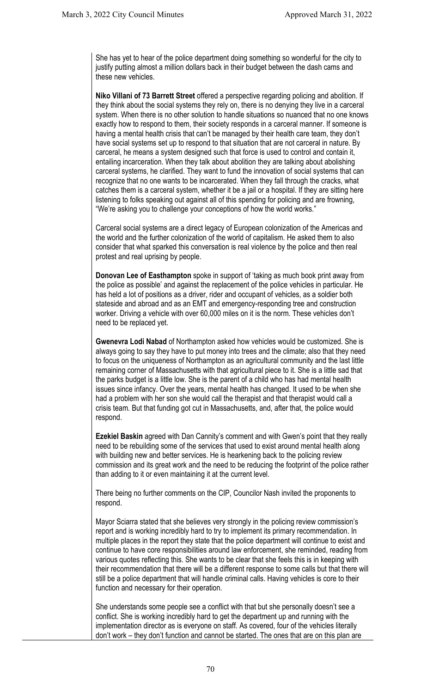She has yet to hear of the police department doing something so wonderful for the city to justify putting almost a million dollars back in their budget between the dash cams and these new vehicles.

**Niko Villani of 73 Barrett Street** offered a perspective regarding policing and abolition. If they think about the social systems they rely on, there is no denying they live in a carceral system. When there is no other solution to handle situations so nuanced that no one knows exactly how to respond to them, their society responds in a carceral manner. If someone is having a mental health crisis that can't be managed by their health care team, they don't have social systems set up to respond to that situation that are not carceral in nature. By carceral, he means a system designed such that force is used to control and contain it, entailing incarceration. When they talk about abolition they are talking about abolishing carceral systems, he clarified. They want to fund the innovation of social systems that can recognize that no one wants to be incarcerated. When they fall through the cracks, what catches them is a carceral system, whether it be a jail or a hospital. If they are sitting here listening to folks speaking out against all of this spending for policing and are frowning, "We're asking you to challenge your conceptions of how the world works."

Carceral social systems are a direct legacy of European colonization of the Americas and the world and the further colonization of the world of capitalism. He asked them to also consider that what sparked this conversation is real violence by the police and then real protest and real uprising by people.

**Donovan Lee of Easthampton** spoke in support of 'taking as much book print away from the police as possible' and against the replacement of the police vehicles in particular. He has held a lot of positions as a driver, rider and occupant of vehicles, as a soldier both stateside and abroad and as an EMT and emergency-responding tree and construction worker. Driving a vehicle with over 60,000 miles on it is the norm. These vehicles don't need to be replaced yet.

**Gwenevra Lodi Nabad** of Northampton asked how vehicles would be customized. She is always going to say they have to put money into trees and the climate; also that they need to focus on the uniqueness of Northampton as an agricultural community and the last little remaining corner of Massachusetts with that agricultural piece to it. She is a little sad that the parks budget is a little low. She is the parent of a child who has had mental health issues since infancy. Over the years, mental health has changed. It used to be when she had a problem with her son she would call the therapist and that therapist would call a crisis team. But that funding got cut in Massachusetts, and, after that, the police would respond.

**Ezekiel Baskin** agreed with Dan Cannity's comment and with Gwen's point that they really need to be rebuilding some of the services that used to exist around mental health along with building new and better services. He is hearkening back to the policing review commission and its great work and the need to be reducing the footprint of the police rather than adding to it or even maintaining it at the current level.

There being no further comments on the CIP, Councilor Nash invited the proponents to respond.

Mayor Sciarra stated that she believes very strongly in the policing review commission's report and is working incredibly hard to try to implement its primary recommendation. In multiple places in the report they state that the police department will continue to exist and continue to have core responsibilities around law enforcement, she reminded, reading from various quotes reflecting this. She wants to be clear that she feels this is in keeping with their recommendation that there will be a different response to some calls but that there will still be a police department that will handle criminal calls. Having vehicles is core to their function and necessary for their operation.

She understands some people see a conflict with that but she personally doesn't see a conflict. She is working incredibly hard to get the department up and running with the implementation director as is everyone on staff. As covered, four of the vehicles literally don't work – they don't function and cannot be started. The ones that are on this plan are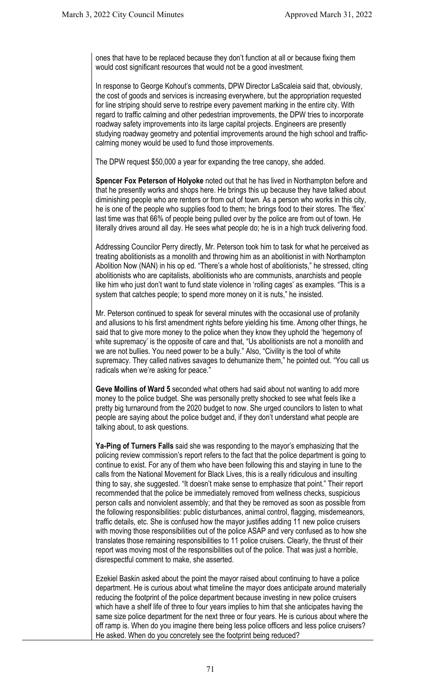ones that have to be replaced because they don't function at all or because fixing them would cost significant resources that would not be a good investment.

In response to George Kohout's comments, DPW Director LaScaleia said that, obviously, the cost of goods and services is increasing everywhere, but the appropriation requested for line striping should serve to restripe every pavement marking in the entire city. With regard to traffic calming and other pedestrian improvements, the DPW tries to incorporate roadway safety improvements into its large capital projects. Engineers are presently studying roadway geometry and potential improvements around the high school and trafficcalming money would be used to fund those improvements.

The DPW request \$50,000 a year for expanding the tree canopy, she added.

**Spencer Fox Peterson of Holyoke** noted out that he has lived in Northampton before and that he presently works and shops here. He brings this up because they have talked about diminishing people who are renters or from out of town. As a person who works in this city, he is one of the people who supplies food to them; he brings food to their stores. The 'flex' last time was that 66% of people being pulled over by the police are from out of town. He literally drives around all day. He sees what people do; he is in a high truck delivering food.

Addressing Councilor Perry directly, Mr. Peterson took him to task for what he perceived as treating abolitionists as a monolith and throwing him as an abolitionist in with Northampton Abolition Now (NAN) in his op ed. "There's a whole host of abolitionists," he stressed, clting abolitionists who are capitalists, abolitionists who are communists, anarchists and people like him who just don't want to fund state violence in 'rolling cages' as examples. "This is a system that catches people; to spend more money on it is nuts," he insisted.

Mr. Peterson continued to speak for several minutes with the occasional use of profanity and allusions to his first amendment rights before yielding his time. Among other things, he said that to give more money to the police when they know they uphold the 'hegemony of white supremacy' is the opposite of care and that, "Us abolitionists are not a monolith and we are not bullies. You need power to be a bully." Also, "Civility is the tool of white supremacy. They called natives savages to dehumanize them," he pointed out. "You call us radicals when we're asking for peace."

**Geve Mollins of Ward 5** seconded what others had said about not wanting to add more money to the police budget. She was personally pretty shocked to see what feels like a pretty big turnaround from the 2020 budget to now. She urged councilors to listen to what people are saying about the police budget and, if they don't understand what people are talking about, to ask questions.

**Ya-Ping of Turners Falls** said she was responding to the mayor's emphasizing that the policing review commission's report refers to the fact that the police department is going to continue to exist. For any of them who have been following this and staying in tune to the calls from the National Movement for Black Lives, this is a really ridiculous and insulting thing to say, she suggested. "It doesn't make sense to emphasize that point." Their report recommended that the police be immediately removed from wellness checks, suspicious person calls and nonviolent assembly; and that they be removed as soon as possible from the following responsibilities: public disturbances, animal control, flagging, misdemeanors, traffic details, etc. She is confused how the mayor justifies adding 11 new police cruisers with moving those responsibilities out of the police ASAP and very confused as to how she translates those remaining responsibilities to 11 police cruisers. Clearly, the thrust of their report was moving most of the responsibilities out of the police. That was just a horrible, disrespectful comment to make, she asserted.

Ezekiel Baskin asked about the point the mayor raised about continuing to have a police department. He is curious about what timeline the mayor does anticipate around materially reducing the footprint of the police department because investing in new police cruisers which have a shelf life of three to four years implies to him that she anticipates having the same size police department for the next three or four years. He is curious about where the off ramp is. When do you imagine there being less police officers and less police cruisers? He asked. When do you concretely see the footprint being reduced?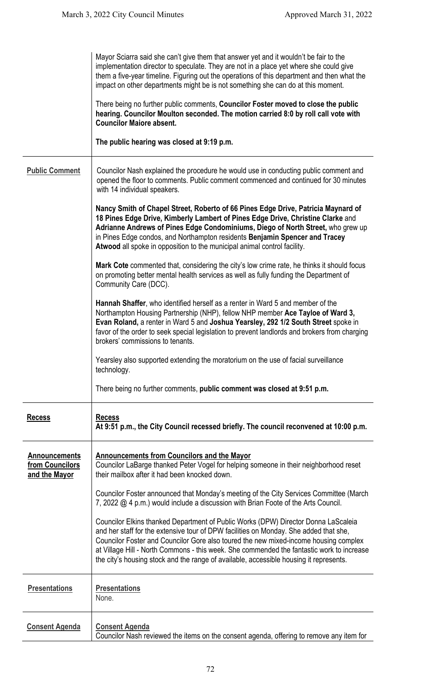|                                                          | Mayor Sciarra said she can't give them that answer yet and it wouldn't be fair to the<br>implementation director to speculate. They are not in a place yet where she could give<br>them a five-year timeline. Figuring out the operations of this department and then what the<br>impact on other departments might be is not something she can do at this moment.<br>There being no further public comments, Councilor Foster moved to close the public<br>hearing. Councilor Moulton seconded. The motion carried 8:0 by roll call vote with<br><b>Councilor Maiore absent.</b><br>The public hearing was closed at 9:19 p.m. |
|----------------------------------------------------------|---------------------------------------------------------------------------------------------------------------------------------------------------------------------------------------------------------------------------------------------------------------------------------------------------------------------------------------------------------------------------------------------------------------------------------------------------------------------------------------------------------------------------------------------------------------------------------------------------------------------------------|
| <b>Public Comment</b>                                    | Councilor Nash explained the procedure he would use in conducting public comment and<br>opened the floor to comments. Public comment commenced and continued for 30 minutes<br>with 14 individual speakers.                                                                                                                                                                                                                                                                                                                                                                                                                     |
|                                                          | Nancy Smith of Chapel Street, Roberto of 66 Pines Edge Drive, Patricia Maynard of<br>18 Pines Edge Drive, Kimberly Lambert of Pines Edge Drive, Christine Clarke and<br>Adrianne Andrews of Pines Edge Condominiums, Diego of North Street, who grew up<br>in Pines Edge condos, and Northampton residents Benjamin Spencer and Tracey<br>Atwood all spoke in opposition to the municipal animal control facility.                                                                                                                                                                                                              |
|                                                          | Mark Cote commented that, considering the city's low crime rate, he thinks it should focus<br>on promoting better mental health services as well as fully funding the Department of<br>Community Care (DCC).                                                                                                                                                                                                                                                                                                                                                                                                                    |
|                                                          | Hannah Shaffer, who identified herself as a renter in Ward 5 and member of the<br>Northampton Housing Partnership (NHP), fellow NHP member Ace Tayloe of Ward 3,<br>Evan Roland, a renter in Ward 5 and Joshua Yearsley, 292 1/2 South Street spoke in<br>favor of the order to seek special legislation to prevent landlords and brokers from charging<br>brokers' commissions to tenants.                                                                                                                                                                                                                                     |
|                                                          | Yearsley also supported extending the moratorium on the use of facial surveillance<br>technology.                                                                                                                                                                                                                                                                                                                                                                                                                                                                                                                               |
|                                                          | There being no further comments, public comment was closed at 9:51 p.m.                                                                                                                                                                                                                                                                                                                                                                                                                                                                                                                                                         |
| <b>Recess</b>                                            | <b>Recess</b><br>At 9:51 p.m., the City Council recessed briefly. The council reconvened at 10:00 p.m.                                                                                                                                                                                                                                                                                                                                                                                                                                                                                                                          |
| <b>Announcements</b><br>from Councilors<br>and the Mayor | <b>Announcements from Councilors and the Mayor</b><br>Councilor LaBarge thanked Peter Vogel for helping someone in their neighborhood reset<br>their mailbox after it had been knocked down.                                                                                                                                                                                                                                                                                                                                                                                                                                    |
|                                                          | Councilor Foster announced that Monday's meeting of the City Services Committee (March<br>7, 2022 @ 4 p.m.) would include a discussion with Brian Foote of the Arts Council.                                                                                                                                                                                                                                                                                                                                                                                                                                                    |
|                                                          | Councilor Elkins thanked Department of Public Works (DPW) Director Donna LaScaleia<br>and her staff for the extensive tour of DPW facilities on Monday. She added that she,<br>Councilor Foster and Councilor Gore also toured the new mixed-income housing complex<br>at Village Hill - North Commons - this week. She commended the fantastic work to increase<br>the city's housing stock and the range of available, accessible housing it represents.                                                                                                                                                                      |
| <b>Presentations</b>                                     | <b>Presentations</b><br>None.                                                                                                                                                                                                                                                                                                                                                                                                                                                                                                                                                                                                   |
| <b>Consent Agenda</b>                                    | <b>Consent Agenda</b><br>Councilor Nash reviewed the items on the consent agenda, offering to remove any item for                                                                                                                                                                                                                                                                                                                                                                                                                                                                                                               |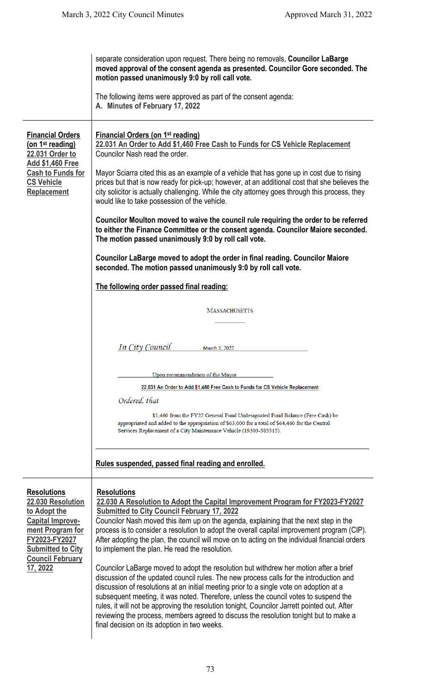|                                                                                                                                                                                            | separate consideration upon request. There being no removals, Councilor LaBarge<br>moved approval of the consent agenda as presented. Councilor Gore seconded. The<br>motion passed unanimously 9:0 by roll call vote.<br>The following items were approved as part of the consent agenda:<br>A. Minutes of February 17, 2022                                                                                                                                                                                                                                                                                                                                                                                                                                                                                                                                                                                                                                                                                                                                                                                          |
|--------------------------------------------------------------------------------------------------------------------------------------------------------------------------------------------|------------------------------------------------------------------------------------------------------------------------------------------------------------------------------------------------------------------------------------------------------------------------------------------------------------------------------------------------------------------------------------------------------------------------------------------------------------------------------------------------------------------------------------------------------------------------------------------------------------------------------------------------------------------------------------------------------------------------------------------------------------------------------------------------------------------------------------------------------------------------------------------------------------------------------------------------------------------------------------------------------------------------------------------------------------------------------------------------------------------------|
| <b>Financial Orders</b><br>(on 1 <sup>st</sup> reading)<br>22.031 Order to<br><b>Add \$1,460 Free</b><br><b>Cash to Funds for</b><br><b>CS Vehicle</b><br><b>Replacement</b>               | <b>Financial Orders (on 1st reading)</b><br>22.031 An Order to Add \$1,460 Free Cash to Funds for CS Vehicle Replacement<br>Councilor Nash read the order.<br>Mayor Sciarra cited this as an example of a vehicle that has gone up in cost due to rising<br>prices but that is now ready for pick-up; however, at an additional cost that she believes the<br>city solicitor is actually challenging. While the city attorney goes through this process, they<br>would like to take possession of the vehicle.<br>Councilor Moulton moved to waive the council rule requiring the order to be referred<br>to either the Finance Committee or the consent agenda. Councilor Maiore seconded.<br>The motion passed unanimously 9:0 by roll call vote.<br>Councilor LaBarge moved to adopt the order in final reading. Councilor Maiore<br>seconded. The motion passed unanimously 9:0 by roll call vote.                                                                                                                                                                                                                 |
|                                                                                                                                                                                            | The following order passed final reading:<br><b>MASSACHUSETTS</b>                                                                                                                                                                                                                                                                                                                                                                                                                                                                                                                                                                                                                                                                                                                                                                                                                                                                                                                                                                                                                                                      |
|                                                                                                                                                                                            | In City Council<br>March 3, 2022                                                                                                                                                                                                                                                                                                                                                                                                                                                                                                                                                                                                                                                                                                                                                                                                                                                                                                                                                                                                                                                                                       |
|                                                                                                                                                                                            | Upon recommendation of the Mayor<br>22.031 An Order to Add \$1,460 Free Cash to Funds for CS Vehicle Replacement<br>Ordered, that<br>\$1,460 from the FY22 General Fund Undesignated Fund Balance (Free Cash) be<br>appropriated and added to the appropriation of \$63,000 for a total of \$64,460 for the Central<br>Services Replacement of a City Maintenance Vehicle (19303-585515).                                                                                                                                                                                                                                                                                                                                                                                                                                                                                                                                                                                                                                                                                                                              |
|                                                                                                                                                                                            | Rules suspended, passed final reading and enrolled.                                                                                                                                                                                                                                                                                                                                                                                                                                                                                                                                                                                                                                                                                                                                                                                                                                                                                                                                                                                                                                                                    |
| <b>Resolutions</b><br>22.030 Resolution<br>to Adopt the<br><b>Capital Improve-</b><br>ment Program for<br>FY2023-FY2027<br><b>Submitted to City</b><br><b>Council February</b><br>17, 2022 | <b>Resolutions</b><br>22.030 A Resolution to Adopt the Capital Improvement Program for FY2023-FY2027<br><b>Submitted to City Council February 17, 2022</b><br>Councilor Nash moved this item up on the agenda, explaining that the next step in the<br>process is to consider a resolution to adopt the overall capital improvement program (CIP).<br>After adopting the plan, the council will move on to acting on the individual financial orders<br>to implement the plan. He read the resolution.<br>Councilor LaBarge moved to adopt the resolution but withdrew her motion after a brief<br>discussion of the updated council rules. The new process calls for the introduction and<br>discussion of resolutions at an initial meeting prior to a single vote on adoption at a<br>subsequent meeting, it was noted. Therefore, unless the council votes to suspend the<br>rules, it will not be approving the resolution tonight, Councilor Jarrett pointed out. After<br>reviewing the process, members agreed to discuss the resolution tonight but to make a<br>final decision on its adoption in two weeks. |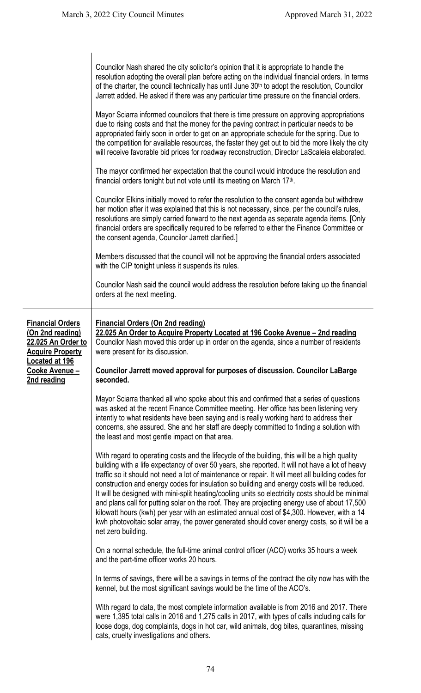Councilor Nash shared the city solicitor's opinion that it is appropriate to handle the resolution adopting the overall plan before acting on the individual financial orders. In terms of the charter, the council technically has until June 30<sup>th</sup> to adopt the resolution, Councilor Jarrett added. He asked if there was any particular time pressure on the financial orders. Mayor Sciarra informed councilors that there is time pressure on approving appropriations due to rising costs and that the money for the paving contract in particular needs to be appropriated fairly soon in order to get on an appropriate schedule for the spring. Due to the competition for available resources, the faster they get out to bid the more likely the city will receive favorable bid prices for roadway reconstruction, Director LaScaleia elaborated. The mayor confirmed her expectation that the council would introduce the resolution and financial orders tonight but not vote until its meeting on March 17th. Councilor Elkins initially moved to refer the resolution to the consent agenda but withdrew her motion after it was explained that this is not necessary, since, per the council's rules, resolutions are simply carried forward to the next agenda as separate agenda items. [Only financial orders are specifically required to be referred to either the Finance Committee or the consent agenda, Councilor Jarrett clarified.] Members discussed that the council will not be approving the financial orders associated with the CIP tonight unless it suspends its rules. Councilor Nash said the council would address the resolution before taking up the financial orders at the next meeting. **Financial Orders (On 2nd reading) 22.025 An Order to Acquire Property Located at 196 Cooke Avenue – 2nd reading Financial Orders (On 2nd reading) 22.025 An Order to Acquire Property Located at 196 Cooke Avenue – 2nd reading** Councilor Nash moved this order up in order on the agenda, since a number of residents were present for its discussion. **Councilor Jarrett moved approval for purposes of discussion. Councilor LaBarge seconded.** Mayor Sciarra thanked all who spoke about this and confirmed that a series of questions was asked at the recent Finance Committee meeting. Her office has been listening very intently to what residents have been saying and is really working hard to address their concerns, she assured. She and her staff are deeply committed to finding a solution with the least and most gentle impact on that area. With regard to operating costs and the lifecycle of the building, this will be a high quality building with a life expectancy of over 50 years, she reported. It will not have a lot of heavy traffic so it should not need a lot of maintenance or repair. It will meet all building codes for construction and energy codes for insulation so building and energy costs will be reduced. It will be designed with mini-split heating/cooling units so electricity costs should be minimal and plans call for putting solar on the roof. They are projecting energy use of about 17,500 kilowatt hours (kwh) per year with an estimated annual cost of \$4,300. However, with a 14 kwh photovoltaic solar array, the power generated should cover energy costs, so it will be a net zero building. On a normal schedule, the full-time animal control officer (ACO) works 35 hours a week and the part-time officer works 20 hours. In terms of savings, there will be a savings in terms of the contract the city now has with the kennel, but the most significant savings would be the time of the ACO's. With regard to data, the most complete information available is from 2016 and 2017. There were 1,395 total calls in 2016 and 1,275 calls in 2017, with types of calls including calls for loose dogs, dog complaints, dogs in hot car, wild animals, dog bites, quarantines, missing cats, cruelty investigations and others.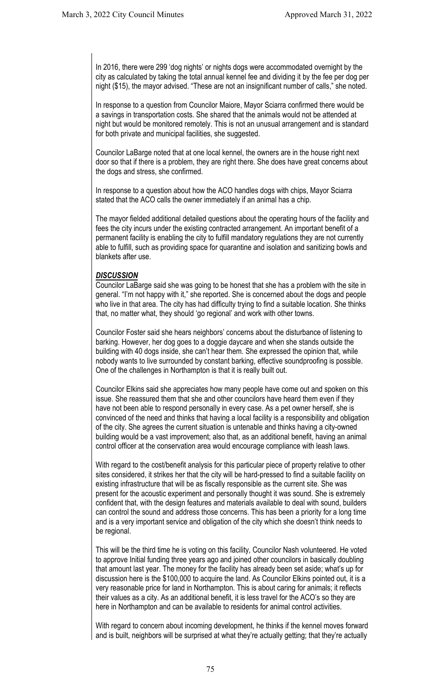In 2016, there were 299 'dog nights' or nights dogs were accommodated overnight by the city as calculated by taking the total annual kennel fee and dividing it by the fee per dog per night (\$15), the mayor advised. "These are not an insignificant number of calls," she noted.

In response to a question from Councilor Maiore, Mayor Sciarra confirmed there would be a savings in transportation costs. She shared that the animals would not be attended at night but would be monitored remotely. This is not an unusual arrangement and is standard for both private and municipal facilities, she suggested.

Councilor LaBarge noted that at one local kennel, the owners are in the house right next door so that if there is a problem, they are right there. She does have great concerns about the dogs and stress, she confirmed.

In response to a question about how the ACO handles dogs with chips, Mayor Sciarra stated that the ACO calls the owner immediately if an animal has a chip.

The mayor fielded additional detailed questions about the operating hours of the facility and fees the city incurs under the existing contracted arrangement. An important benefit of a permanent facility is enabling the city to fulfill mandatory regulations they are not currently able to fulfill, such as providing space for quarantine and isolation and sanitizing bowls and blankets after use.

#### *DISCUSSION*

Councilor LaBarge said she was going to be honest that she has a problem with the site in general. "I'm not happy with it," she reported. She is concerned about the dogs and people who live in that area. The city has had difficulty trying to find a suitable location. She thinks that, no matter what, they should 'go regional' and work with other towns.

Councilor Foster said she hears neighbors' concerns about the disturbance of listening to barking. However, her dog goes to a doggie daycare and when she stands outside the building with 40 dogs inside, she can't hear them. She expressed the opinion that, while nobody wants to live surrounded by constant barking, effective soundproofing is possible. One of the challenges in Northampton is that it is really built out.

Councilor Elkins said she appreciates how many people have come out and spoken on this issue. She reassured them that she and other councilors have heard them even if they have not been able to respond personally in every case. As a pet owner herself, she is convinced of the need and thinks that having a local facility is a responsibility and obligation of the city. She agrees the current situation is untenable and thinks having a city-owned building would be a vast improvement; also that, as an additional benefit, having an animal control officer at the conservation area would encourage compliance with leash laws.

With regard to the cost/benefit analysis for this particular piece of property relative to other sites considered, it strikes her that the city will be hard-pressed to find a suitable facility on existing infrastructure that will be as fiscally responsible as the current site. She was present for the acoustic experiment and personally thought it was sound. She is extremely confident that, with the design features and materials available to deal with sound, builders can control the sound and address those concerns. This has been a priority for a long time and is a very important service and obligation of the city which she doesn't think needs to be regional.

This will be the third time he is voting on this facility, Councilor Nash volunteered. He voted to approve Initial funding three years ago and joined other councilors in basically doubling that amount last year. The money for the facility has already been set aside; what's up for discussion here is the \$100,000 to acquire the land. As Councilor Elkins pointed out, it is a very reasonable price for land in Northampton. This is about caring for animals; it reflects their values as a city. As an additional benefit, it is less travel for the ACO's so they are here in Northampton and can be available to residents for animal control activities.

With regard to concern about incoming development, he thinks if the kennel moves forward and is built, neighbors will be surprised at what they're actually getting; that they're actually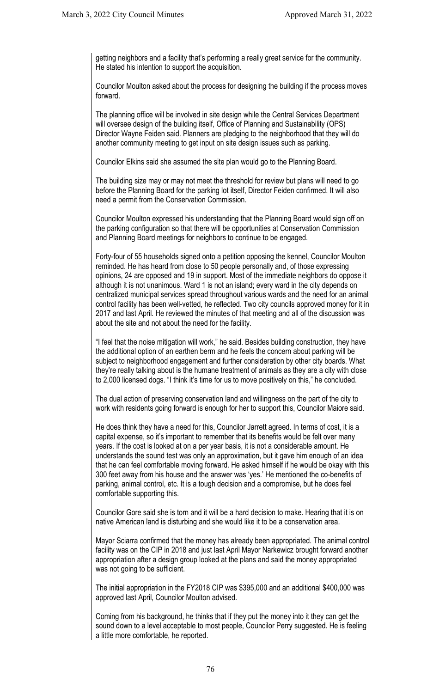getting neighbors and a facility that's performing a really great service for the community. He stated his intention to support the acquisition.

Councilor Moulton asked about the process for designing the building if the process moves forward.

The planning office will be involved in site design while the Central Services Department will oversee design of the building itself, Office of Planning and Sustainability (OPS) Director Wayne Feiden said. Planners are pledging to the neighborhood that they will do another community meeting to get input on site design issues such as parking.

Councilor Elkins said she assumed the site plan would go to the Planning Board.

The building size may or may not meet the threshold for review but plans will need to go before the Planning Board for the parking lot itself, Director Feiden confirmed. It will also need a permit from the Conservation Commission.

Councilor Moulton expressed his understanding that the Planning Board would sign off on the parking configuration so that there will be opportunities at Conservation Commission and Planning Board meetings for neighbors to continue to be engaged.

Forty-four of 55 households signed onto a petition opposing the kennel, Councilor Moulton reminded. He has heard from close to 50 people personally and, of those expressing opinions, 24 are opposed and 19 in support. Most of the immediate neighbors do oppose it although it is not unanimous. Ward 1 is not an island; every ward in the city depends on centralized municipal services spread throughout various wards and the need for an animal control facility has been well-vetted, he reflected. Two city councils approved money for it in 2017 and last April. He reviewed the minutes of that meeting and all of the discussion was about the site and not about the need for the facility.

"I feel that the noise mitigation will work," he said. Besides building construction, they have the additional option of an earthen berm and he feels the concern about parking will be subject to neighborhood engagement and further consideration by other city boards. What they're really talking about is the humane treatment of animals as they are a city with close to 2,000 licensed dogs. "I think it's time for us to move positively on this," he concluded.

The dual action of preserving conservation land and willingness on the part of the city to work with residents going forward is enough for her to support this, Councilor Maiore said.

He does think they have a need for this, Councilor Jarrett agreed. In terms of cost, it is a capital expense, so it's important to remember that its benefits would be felt over many years. If the cost is looked at on a per year basis, it is not a considerable amount. He understands the sound test was only an approximation, but it gave him enough of an idea that he can feel comfortable moving forward. He asked himself if he would be okay with this 300 feet away from his house and the answer was 'yes.' He mentioned the co-benefits of parking, animal control, etc. It is a tough decision and a compromise, but he does feel comfortable supporting this.

Councilor Gore said she is torn and it will be a hard decision to make. Hearing that it is on native American land is disturbing and she would like it to be a conservation area.

Mayor Sciarra confirmed that the money has already been appropriated. The animal control facility was on the CIP in 2018 and just last April Mayor Narkewicz brought forward another appropriation after a design group looked at the plans and said the money appropriated was not going to be sufficient.

The initial appropriation in the FY2018 CIP was \$395,000 and an additional \$400,000 was approved last April, Councilor Moulton advised.

Coming from his background, he thinks that if they put the money into it they can get the sound down to a level acceptable to most people, Councilor Perry suggested. He is feeling a little more comfortable, he reported.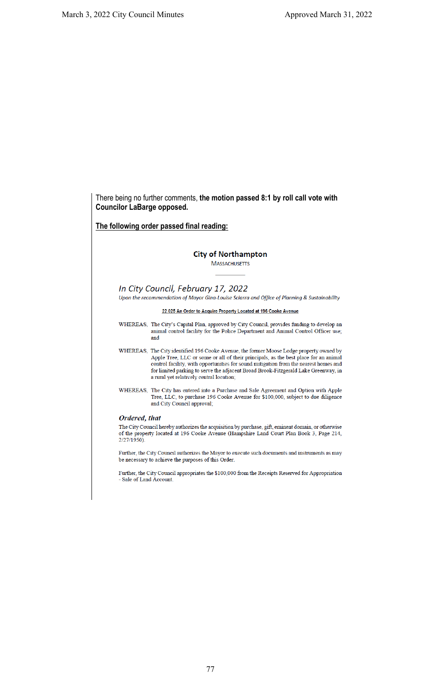**Councilor LaBarge opposed.**

**The following order passed final reading:City of Northampton MASSACHUSETTS** In City Council, February 17, 2022 Upon the recommendation of Mayor Gina-Louise Sciarra and Office of Planning & Sustainability 22.025 An Order to Acquire Property Located at 196 Cooke Avenue WHEREAS, The City's Capital Plan, approved by City Council, provides funding to develop an animal control facility for the Police Department and Animal Control Officer use; and WHEREAS, The City identified 196 Cooke Avenue, the former Moose Lodge property owned by Apple Tree, LLC or some or all of their principals, as the best place for an animal control facility, with opportunities for sound mitigation from the nearest homes and for limited parking to serve the adjacent Broad Brook-Fitzgerald Lake Greenway, in a rural yet relatively central location; WHEREAS, The City has entered into a Purchase and Sale Agreement and Option with Apple Tree, LLC, to purchase 196 Cooke Avenue for \$100,000, subject to due diligence and City Council approval; Ordered, that The City Council hereby authorizes the acquisition by purchase, gift, eminent domain, or otherwise of the property located at 196 Cooke Avenue (Hampshire Land Court Plan Book 3, Page 214,  $2/27/1950$ .

There being no further comments, **the motion passed 8:1 by roll call vote with** 

Further, the City Council authorizes the Mayor to execute such documents and instruments as may be necessary to achieve the purposes of this Order.

Further, the City Council appropriates the \$100,000 from the Receipts Reserved for Appropriation - Sale of Land Account.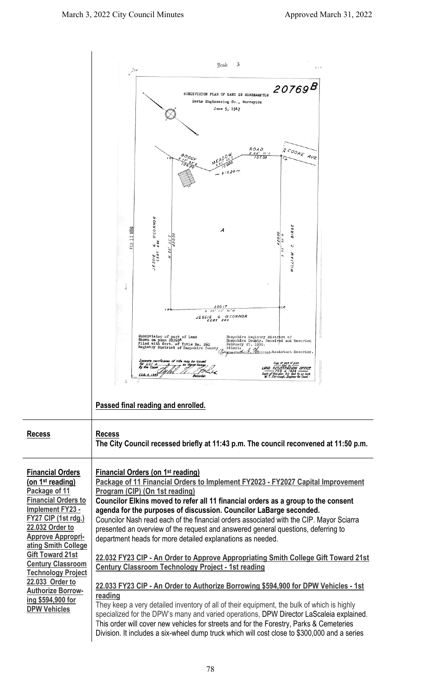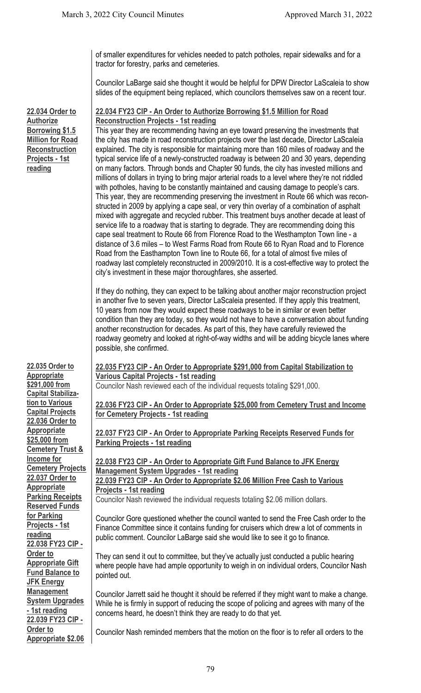of smaller expenditures for vehicles needed to patch potholes, repair sidewalks and for a tractor for forestry, parks and cemeteries.

Councilor LaBarge said she thought it would be helpful for DPW Director LaScaleia to show slides of the equipment being replaced, which councilors themselves saw on a recent tour.

### **22.034 Order to Authorize Borrowing \$1.5 Million for Road Reconstruction Projects - 1st reading**

**22.035 Order to Appropriate \$291,000 from Capital Stabilization to Various Capital Projects 22.036 Order to Appropriate \$25,000 from Cemetery Trust & Income for Cemetery Projects 22.037 Order to Appropriate Parking Receipts Reserved Funds for Parking Projects - 1st reading 22.038 FY23 CIP - Order to Appropriate Gift Fund Balance to JFK Energy Management System Upgrades - 1st reading 22.039 FY23 CIP - Order to Appropriate \$2.06** 

# **22.034 FY23 CIP - An Order to Authorize Borrowing \$1.5 Million for Road Reconstruction Projects - 1st reading**

This year they are recommending having an eye toward preserving the investments that the city has made in road reconstruction projects over the last decade, Director LaScaleia explained. The city is responsible for maintaining more than 160 miles of roadway and the typical service life of a newly-constructed roadway is between 20 and 30 years, depending on many factors. Through bonds and Chapter 90 funds, the city has invested millions and millions of dollars in trying to bring major arterial roads to a level where they're not riddled with potholes, having to be constantly maintained and causing damage to people's cars. This year, they are recommending preserving the investment in Route 66 which was reconstructed in 2009 by applying a cape seal, or very thin overlay of a combination of asphalt mixed with aggregate and recycled rubber. This treatment buys another decade at least of service life to a roadway that is starting to degrade. They are recommending doing this cape seal treatment to Route 66 from Florence Road to the Westhampton Town line - a distance of 3.6 miles – to West Farms Road from Route 66 to Ryan Road and to Florence Road from the Easthampton Town line to Route 66, for a total of almost five miles of roadway last completely reconstructed in 2009/2010. It is a cost-effective way to protect the city's investment in these major thoroughfares, she asserted.

If they do nothing, they can expect to be talking about another major reconstruction project in another five to seven years, Director LaScaleia presented. If they apply this treatment, 10 years from now they would expect these roadways to be in similar or even better condition than they are today, so they would not have to have a conversation about funding another reconstruction for decades. As part of this, they have carefully reviewed the roadway geometry and looked at right-of-way widths and will be adding bicycle lanes where possible, she confirmed.

## **22.035 FY23 CIP - An Order to Appropriate \$291,000 from Capital Stabilization to Various Capital Projects - 1st reading**

Councilor Nash reviewed each of the individual requests totaling \$291,000.

**22.036 FY23 CIP - An Order to Appropriate \$25,000 from Cemetery Trust and Income for Cemetery Projects - 1st reading**

**22.037 FY23 CIP - An Order to Appropriate Parking Receipts Reserved Funds for Parking Projects - 1st reading**

#### **22.038 FY23 CIP - An Order to Appropriate Gift Fund Balance to JFK Energy Management System Upgrades - 1st reading 22.039 FY23 CIP - An Order to Appropriate \$2.06 Million Free Cash to Various Projects - 1st reading**

Councilor Nash reviewed the individual requests totaling \$2.06 million dollars.

Councilor Gore questioned whether the council wanted to send the Free Cash order to the Finance Committee since it contains funding for cruisers which drew a lot of comments in public comment. Councilor LaBarge said she would like to see it go to finance.

They can send it out to committee, but they've actually just conducted a public hearing where people have had ample opportunity to weigh in on individual orders, Councilor Nash pointed out.

Councilor Jarrett said he thought it should be referred if they might want to make a change. While he is firmly in support of reducing the scope of policing and agrees with many of the concerns heard, he doesn't think they are ready to do that yet.

Councilor Nash reminded members that the motion on the floor is to refer all orders to the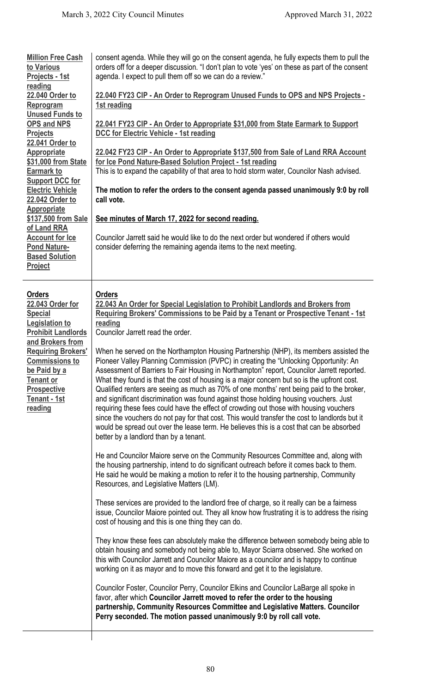| <b>Million Free Cash</b><br>to Various<br>Projects - 1st<br>reading<br>22.040 Order to<br>Reprogram<br><b>Unused Funds to</b><br><b>OPS and NPS</b><br><b>Projects</b><br>22.041 Order to<br><b>Appropriate</b><br>\$31,000 from State<br><b>Earmark to</b><br><b>Support DCC for</b><br><b>Electric Vehicle</b><br>22.042 Order to<br><b>Appropriate</b><br>\$137,500 from Sale<br>of Land RRA<br><b>Account for Ice</b><br><b>Pond Nature-</b><br><b>Based Solution</b><br>Project | consent agenda. While they will go on the consent agenda, he fully expects them to pull the<br>orders off for a deeper discussion. "I don't plan to vote 'yes' on these as part of the consent<br>agenda. I expect to pull them off so we can do a review."<br>22.040 FY23 CIP - An Order to Reprogram Unused Funds to OPS and NPS Projects -<br>1st reading<br>22.041 FY23 CIP - An Order to Appropriate \$31,000 from State Earmark to Support<br><b>DCC for Electric Vehicle - 1st reading</b><br>22.042 FY23 CIP - An Order to Appropriate \$137,500 from Sale of Land RRA Account<br>for Ice Pond Nature-Based Solution Project - 1st reading<br>This is to expand the capability of that area to hold storm water, Councilor Nash advised.<br>The motion to refer the orders to the consent agenda passed unanimously 9:0 by roll<br>call vote.<br>See minutes of March 17, 2022 for second reading.<br>Councilor Jarrett said he would like to do the next order but wondered if others would<br>consider deferring the remaining agenda items to the next meeting.                                                                                                                                                                                                                                                                                                                                                                                                                                                                                                                                                                                                                                                                                                                                                                                                                                                                                                                                                                                                                                                                                                                                                                                                                                                                                                                                        |
|--------------------------------------------------------------------------------------------------------------------------------------------------------------------------------------------------------------------------------------------------------------------------------------------------------------------------------------------------------------------------------------------------------------------------------------------------------------------------------------|-------------------------------------------------------------------------------------------------------------------------------------------------------------------------------------------------------------------------------------------------------------------------------------------------------------------------------------------------------------------------------------------------------------------------------------------------------------------------------------------------------------------------------------------------------------------------------------------------------------------------------------------------------------------------------------------------------------------------------------------------------------------------------------------------------------------------------------------------------------------------------------------------------------------------------------------------------------------------------------------------------------------------------------------------------------------------------------------------------------------------------------------------------------------------------------------------------------------------------------------------------------------------------------------------------------------------------------------------------------------------------------------------------------------------------------------------------------------------------------------------------------------------------------------------------------------------------------------------------------------------------------------------------------------------------------------------------------------------------------------------------------------------------------------------------------------------------------------------------------------------------------------------------------------------------------------------------------------------------------------------------------------------------------------------------------------------------------------------------------------------------------------------------------------------------------------------------------------------------------------------------------------------------------------------------------------------------------------------------------------------------------------------------------------|
| <b>Orders</b><br>22.043 Order for<br><b>Special</b><br><b>Legislation to</b><br><b>Prohibit Landlords</b><br>and Brokers from<br><b>Requiring Brokers'</b><br><b>Commissions to</b><br>be Paid by a<br><b>Tenant or</b><br><b>Prospective</b><br>Tenant - 1st<br>reading                                                                                                                                                                                                             | Orders<br>22.043 An Order for Special Legislation to Prohibit Landlords and Brokers from<br>Requiring Brokers' Commissions to be Paid by a Tenant or Prospective Tenant - 1st<br>reading<br>Councilor Jarrett read the order.<br>When he served on the Northampton Housing Partnership (NHP), its members assisted the<br>Pioneer Valley Planning Commission (PVPC) in creating the "Unlocking Opportunity: An<br>Assessment of Barriers to Fair Housing in Northampton" report, Councilor Jarrett reported.<br>What they found is that the cost of housing is a major concern but so is the upfront cost.<br>Qualified renters are seeing as much as 70% of one months' rent being paid to the broker,<br>and significant discrimination was found against those holding housing vouchers. Just<br>requiring these fees could have the effect of crowding out those with housing vouchers<br>since the vouchers do not pay for that cost. This would transfer the cost to landlords but it<br>would be spread out over the lease term. He believes this is a cost that can be absorbed<br>better by a landlord than by a tenant.<br>He and Councilor Maiore serve on the Community Resources Committee and, along with<br>the housing partnership, intend to do significant outreach before it comes back to them.<br>He said he would be making a motion to refer it to the housing partnership, Community<br>Resources, and Legislative Matters (LM).<br>These services are provided to the landlord free of charge, so it really can be a fairness<br>issue, Councilor Maiore pointed out. They all know how frustrating it is to address the rising<br>cost of housing and this is one thing they can do.<br>They know these fees can absolutely make the difference between somebody being able to<br>obtain housing and somebody not being able to, Mayor Sciarra observed. She worked on<br>this with Councilor Jarrett and Councilor Maiore as a councilor and is happy to continue<br>working on it as mayor and to move this forward and get it to the legislature.<br>Councilor Foster, Councilor Perry, Councilor Elkins and Councilor LaBarge all spoke in<br>favor, after which Councilor Jarrett moved to refer the order to the housing<br>partnership, Community Resources Committee and Legislative Matters. Councilor<br>Perry seconded. The motion passed unanimously 9:0 by roll call vote. |

 $\overline{\phantom{a}}$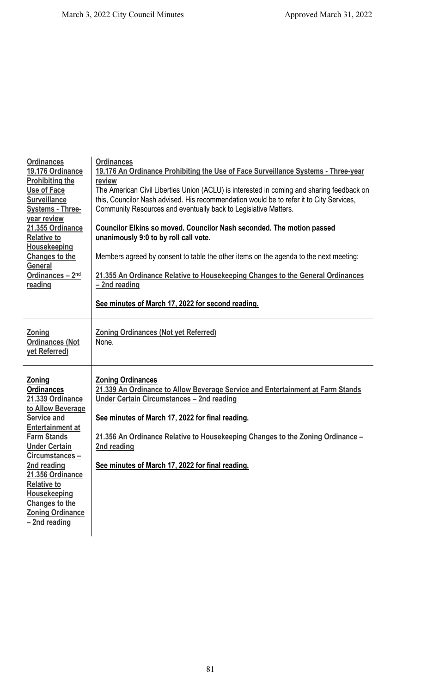| <b>Ordinances</b><br>19.176 Ordinance<br><b>Prohibiting the</b><br><b>Use of Face</b><br><b>Surveillance</b><br><b>Systems - Three-</b><br>year review<br>21.355 Ordinance<br><b>Relative to</b><br>Housekeeping<br><b>Changes to the</b><br><b>General</b><br>Ordinances - 2nd<br>reading                                         | <b>Ordinances</b><br>19.176 An Ordinance Prohibiting the Use of Face Surveillance Systems - Three-year<br>review<br>The American Civil Liberties Union (ACLU) is interested in coming and sharing feedback on<br>this, Councilor Nash advised. His recommendation would be to refer it to City Services,<br>Community Resources and eventually back to Legislative Matters.<br>Councilor Elkins so moved. Councilor Nash seconded. The motion passed<br>unanimously 9:0 to by roll call vote.<br>Members agreed by consent to table the other items on the agenda to the next meeting:<br>21.355 An Ordinance Relative to Housekeeping Changes to the General Ordinances<br>-2nd reading |
|------------------------------------------------------------------------------------------------------------------------------------------------------------------------------------------------------------------------------------------------------------------------------------------------------------------------------------|------------------------------------------------------------------------------------------------------------------------------------------------------------------------------------------------------------------------------------------------------------------------------------------------------------------------------------------------------------------------------------------------------------------------------------------------------------------------------------------------------------------------------------------------------------------------------------------------------------------------------------------------------------------------------------------|
|                                                                                                                                                                                                                                                                                                                                    | See minutes of March 17, 2022 for second reading.                                                                                                                                                                                                                                                                                                                                                                                                                                                                                                                                                                                                                                        |
| Zoning<br><b>Ordinances (Not</b><br>yet Referred)                                                                                                                                                                                                                                                                                  | <b>Zoning Ordinances (Not yet Referred)</b><br>None.                                                                                                                                                                                                                                                                                                                                                                                                                                                                                                                                                                                                                                     |
| <b>Zoning</b><br><b>Ordinances</b><br>21.339 Ordinance<br>to Allow Beverage<br>Service and<br><b>Entertainment at</b><br><b>Farm Stands</b><br><b>Under Certain</b><br>Circumstances-<br>2nd reading<br>21.356 Ordinance<br><b>Relative to</b><br>Housekeeping<br><b>Changes to the</b><br><b>Zoning Ordinance</b><br>-2nd reading | <b>Zoning Ordinances</b><br>21.339 An Ordinance to Allow Beverage Service and Entertainment at Farm Stands<br>Under Certain Circumstances - 2nd reading<br>See minutes of March 17, 2022 for final reading.<br>21.356 An Ordinance Relative to Housekeeping Changes to the Zoning Ordinance -<br>2nd reading<br>See minutes of March 17, 2022 for final reading.                                                                                                                                                                                                                                                                                                                         |